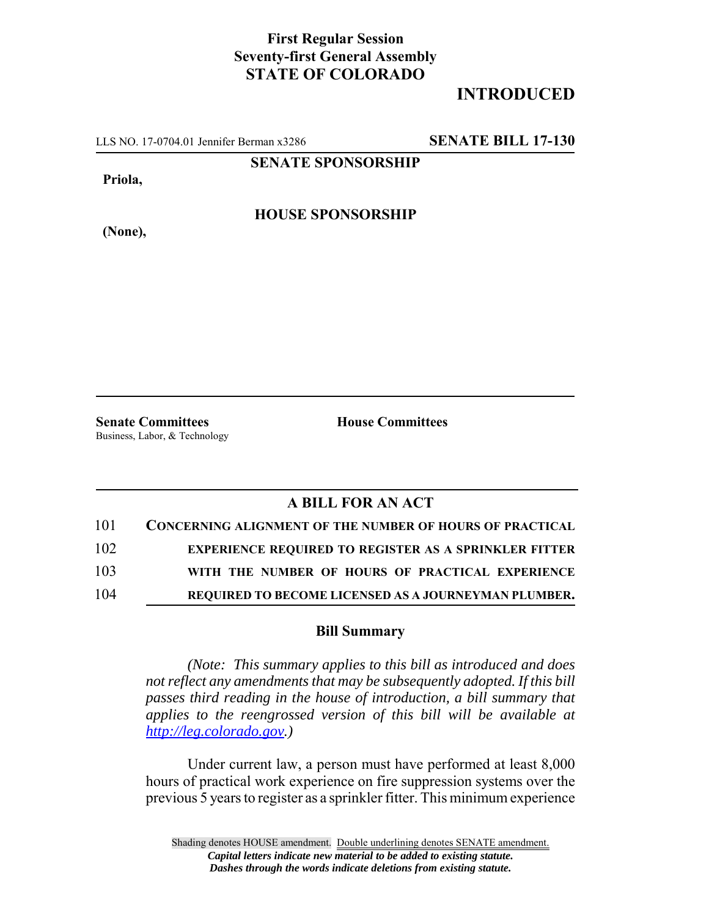## **First Regular Session Seventy-first General Assembly STATE OF COLORADO**

## **INTRODUCED**

LLS NO. 17-0704.01 Jennifer Berman x3286 **SENATE BILL 17-130**

**SENATE SPONSORSHIP**

**Priola,**

**HOUSE SPONSORSHIP**

**(None),**

**Senate Committees House Committees** Business, Labor, & Technology

## **A BILL FOR AN ACT**

| 101 | <b>CONCERNING ALIGNMENT OF THE NUMBER OF HOURS OF PRACTICAL</b> |
|-----|-----------------------------------------------------------------|
| 102 | <b>EXPERIENCE REQUIRED TO REGISTER AS A SPRINKLER FITTER</b>    |
| 103 | WITH THE NUMBER OF HOURS OF PRACTICAL EXPERIENCE                |
| 104 | REQUIRED TO BECOME LICENSED AS A JOURNEYMAN PLUMBER.            |

## **Bill Summary**

*(Note: This summary applies to this bill as introduced and does not reflect any amendments that may be subsequently adopted. If this bill passes third reading in the house of introduction, a bill summary that applies to the reengrossed version of this bill will be available at http://leg.colorado.gov.)*

Under current law, a person must have performed at least 8,000 hours of practical work experience on fire suppression systems over the previous 5 years to register as a sprinkler fitter. This minimum experience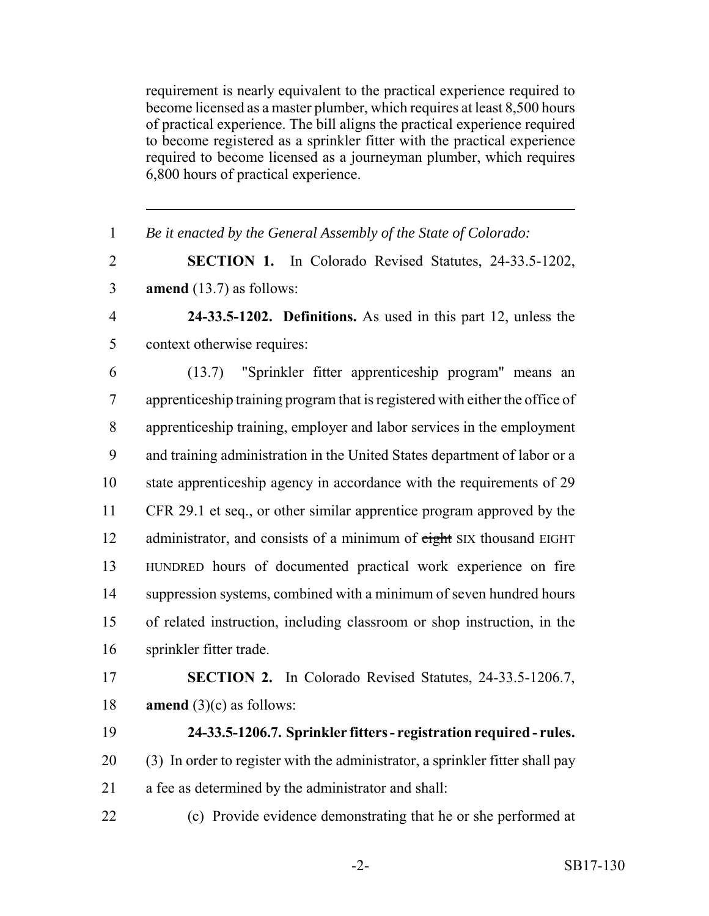requirement is nearly equivalent to the practical experience required to become licensed as a master plumber, which requires at least 8,500 hours of practical experience. The bill aligns the practical experience required to become registered as a sprinkler fitter with the practical experience required to become licensed as a journeyman plumber, which requires 6,800 hours of practical experience.

| $\mathbf{1}$   | Be it enacted by the General Assembly of the State of Colorado:               |
|----------------|-------------------------------------------------------------------------------|
| $\overline{2}$ | <b>SECTION 1.</b> In Colorado Revised Statutes, 24-33.5-1202,                 |
| 3              | amend $(13.7)$ as follows:                                                    |
| $\overline{4}$ | 24-33.5-1202. Definitions. As used in this part 12, unless the                |
| 5              | context otherwise requires:                                                   |
| 6              | (13.7) "Sprinkler fitter apprenticeship program" means an                     |
| $\overline{7}$ | apprenticeship training program that is registered with either the office of  |
| 8              | apprenticeship training, employer and labor services in the employment        |
| 9              | and training administration in the United States department of labor or a     |
| 10             | state apprenticeship agency in accordance with the requirements of 29         |
| 11             | CFR 29.1 et seq., or other similar apprentice program approved by the         |
| 12             | administrator, and consists of a minimum of eight SIX thousand EIGHT          |
| 13             | HUNDRED hours of documented practical work experience on fire                 |
| 14             | suppression systems, combined with a minimum of seven hundred hours           |
| 15             | of related instruction, including classroom or shop instruction, in the       |
| 16             | sprinkler fitter trade.                                                       |
| 17             | <b>SECTION 2.</b> In Colorado Revised Statutes, 24-33.5-1206.7,               |
| 18             | amend $(3)(c)$ as follows:                                                    |
| 19             | 24-33.5-1206.7. Sprinkler fitters - registration required - rules.            |
| 20             | (3) In order to register with the administrator, a sprinkler fitter shall pay |
| 21             | a fee as determined by the administrator and shall:                           |
| 22             | (c) Provide evidence demonstrating that he or she performed at                |
|                |                                                                               |